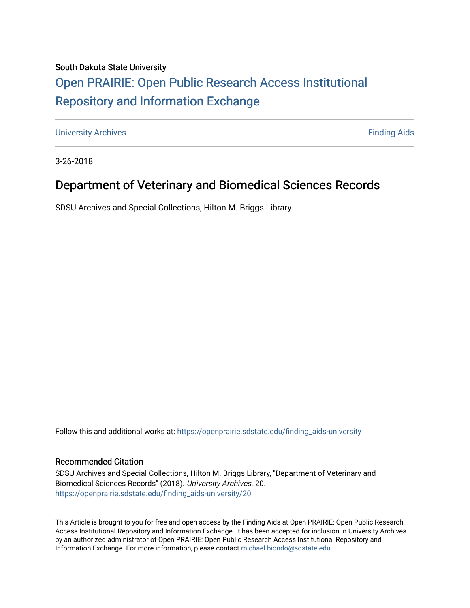# South Dakota State University [Open PRAIRIE: Open Public Research Access Institutional](https://openprairie.sdstate.edu/)  [Repository and Information Exchange](https://openprairie.sdstate.edu/)

[University Archives](https://openprairie.sdstate.edu/finding_aids-university) **Finding Aids Finding Aids Finding Aids Finding Aids Finding Aids** 

3-26-2018

### Department of Veterinary and Biomedical Sciences Records

SDSU Archives and Special Collections, Hilton M. Briggs Library

Follow this and additional works at: [https://openprairie.sdstate.edu/finding\\_aids-university](https://openprairie.sdstate.edu/finding_aids-university?utm_source=openprairie.sdstate.edu%2Ffinding_aids-university%2F20&utm_medium=PDF&utm_campaign=PDFCoverPages) 

#### Recommended Citation

SDSU Archives and Special Collections, Hilton M. Briggs Library, "Department of Veterinary and Biomedical Sciences Records" (2018). University Archives. 20. [https://openprairie.sdstate.edu/finding\\_aids-university/20](https://openprairie.sdstate.edu/finding_aids-university/20?utm_source=openprairie.sdstate.edu%2Ffinding_aids-university%2F20&utm_medium=PDF&utm_campaign=PDFCoverPages)

This Article is brought to you for free and open access by the Finding Aids at Open PRAIRIE: Open Public Research Access Institutional Repository and Information Exchange. It has been accepted for inclusion in University Archives by an authorized administrator of Open PRAIRIE: Open Public Research Access Institutional Repository and Information Exchange. For more information, please contact [michael.biondo@sdstate.edu.](mailto:michael.biondo@sdstate.edu)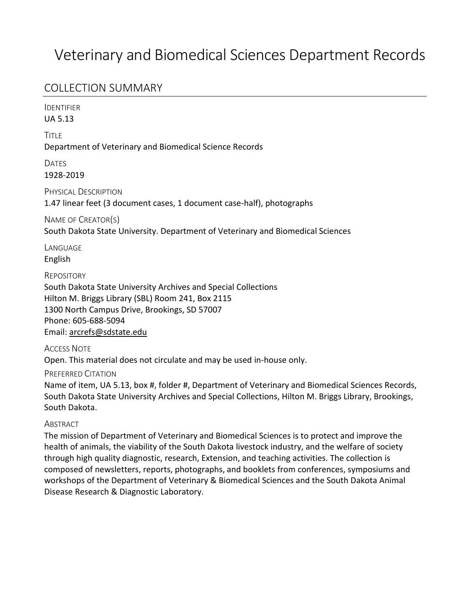# Veterinary and Biomedical Sciences Department Records

### COLLECTION SUMMARY

IDENTIFIER

UA 5.13

**TITLE** 

Department of Veterinary and Biomedical Science Records

DATES 1928-2019

PHYSICAL DESCRIPTION 1.47 linear feet (3 document cases, 1 document case-half), photographs

NAME OF CREATOR(S)

South Dakota State University. Department of Veterinary and Biomedical Sciences

**LANGUAGE** English

**REPOSITORY** 

South Dakota State University Archives and Special Collections Hilton M. Briggs Library (SBL) Room 241, Box 2115 1300 North Campus Drive, Brookings, SD 57007 Phone: 605-688-5094 Email: arcrefs@sdstate.edu

ACCESS NOTE

Open. This material does not circulate and may be used in-house only.

PREFERRED CITATION

Name of item, UA 5.13, box #, folder #, Department of Veterinary and Biomedical Sciences Records, South Dakota State University Archives and Special Collections, Hilton M. Briggs Library, Brookings, South Dakota.

### **ABSTRACT**

The mission of Department of Veterinary and Biomedical Sciences is to protect and improve the health of animals, the viability of the South Dakota livestock industry, and the welfare of society through high quality diagnostic, research, Extension, and teaching activities. The collection is composed of newsletters, reports, photographs, and booklets from conferences, symposiums and workshops of the Department of Veterinary & Biomedical Sciences and the South Dakota Animal Disease Research & Diagnostic Laboratory.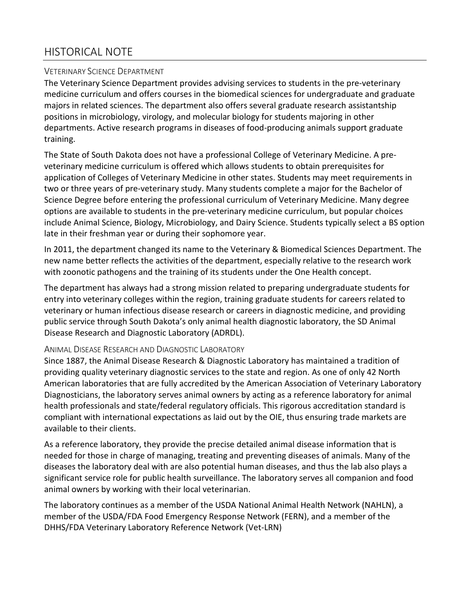# HISTORICAL NOTE

### VETERINARY SCIENCE DEPARTMENT

The Veterinary Science Department provides advising services to students in the pre-veterinary medicine curriculum and offers courses in the biomedical sciences for undergraduate and graduate majors in related sciences. The department also offers several graduate research assistantship positions in microbiology, virology, and molecular biology for students majoring in other departments. Active research programs in diseases of food-producing animals support graduate training.

The State of South Dakota does not have a professional College of Veterinary Medicine. A preveterinary medicine curriculum is offered which allows students to obtain prerequisites for application of Colleges of Veterinary Medicine in other states. Students may meet requirements in two or three years of pre-veterinary study. Many students complete a major for the Bachelor of Science Degree before entering the professional curriculum of Veterinary Medicine. Many degree options are available to students in the pre-veterinary medicine curriculum, but popular choices include Animal Science, Biology, Microbiology, and Dairy Science. Students typically select a BS option late in their freshman year or during their sophomore year.

In 2011, the department changed its name to the Veterinary & Biomedical Sciences Department. The new name better reflects the activities of the department, especially relative to the research work with zoonotic pathogens and the training of its students under the One Health concept.

The department has always had a strong mission related to preparing undergraduate students for entry into veterinary colleges within the region, training graduate students for careers related to veterinary or human infectious disease research or careers in diagnostic medicine, and providing public service through South Dakota's only animal health diagnostic laboratory, the SD Animal Disease Research and Diagnostic Laboratory (ADRDL).

### ANIMAL DISEASE RESEARCH AND DIAGNOSTIC LABORATORY

Since 1887, the Animal Disease Research & Diagnostic Laboratory has maintained a tradition of providing quality veterinary diagnostic services to the state and region. As one of only 42 North American laboratories that are fully accredited by the American Association of Veterinary Laboratory Diagnosticians, the laboratory serves animal owners by acting as a reference laboratory for animal health professionals and state/federal regulatory officials. This rigorous accreditation standard is compliant with international expectations as laid out by the OIE, thus ensuring trade markets are available to their clients.

As a reference laboratory, they provide the precise detailed animal disease information that is needed for those in charge of managing, treating and preventing diseases of animals. Many of the diseases the laboratory deal with are also potential human diseases, and thus the lab also plays a significant service role for public health surveillance. The laboratory serves all companion and food animal owners by working with their local veterinarian.

The laboratory continues as a member of the USDA National Animal Health Network (NAHLN), a member of the USDA/FDA Food Emergency Response Network (FERN), and a member of the DHHS/FDA Veterinary Laboratory Reference Network (Vet-LRN)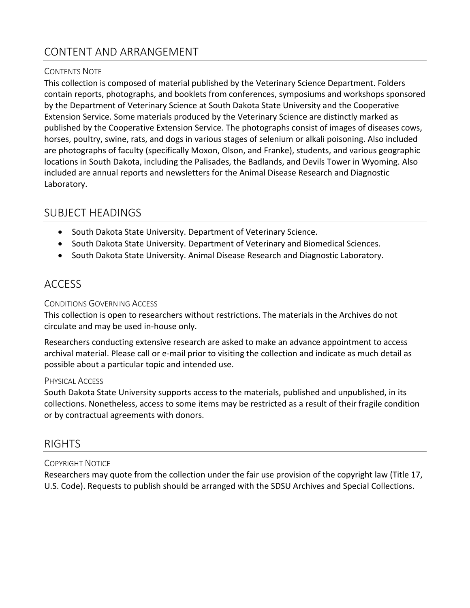# CONTENT AND ARRANGEMENT

### CONTENTS NOTE

This collection is composed of material published by the Veterinary Science Department. Folders contain reports, photographs, and booklets from conferences, symposiums and workshops sponsored by the Department of Veterinary Science at South Dakota State University and the Cooperative Extension Service. Some materials produced by the Veterinary Science are distinctly marked as published by the Cooperative Extension Service. The photographs consist of images of diseases cows, horses, poultry, swine, rats, and dogs in various stages of selenium or alkali poisoning. Also included are photographs of faculty (specifically Moxon, Olson, and Franke), students, and various geographic locations in South Dakota, including the Palisades, the Badlands, and Devils Tower in Wyoming. Also included are annual reports and newsletters for the Animal Disease Research and Diagnostic Laboratory.

### SUBJECT HEADINGS

- South Dakota State University. Department of Veterinary Science.
- South Dakota State University. Department of Veterinary and Biomedical Sciences.
- South Dakota State University. Animal Disease Research and Diagnostic Laboratory.

### ACCESS

### CONDITIONS GOVERNING ACCESS

This collection is open to researchers without restrictions. The materials in the Archives do not circulate and may be used in-house only.

Researchers conducting extensive research are asked to make an advance appointment to access archival material. Please call or e-mail prior to visiting the collection and indicate as much detail as possible about a particular topic and intended use.

### PHYSICAL ACCESS

South Dakota State University supports access to the materials, published and unpublished, in its collections. Nonetheless, access to some items may be restricted as a result of their fragile condition or by contractual agreements with donors.

### RIGHTS

### COPYRIGHT NOTICE

Researchers may quote from the collection under the fair use provision of the copyright law (Title 17, U.S. Code). Requests to publish should be arranged with the SDSU Archives and Special Collections.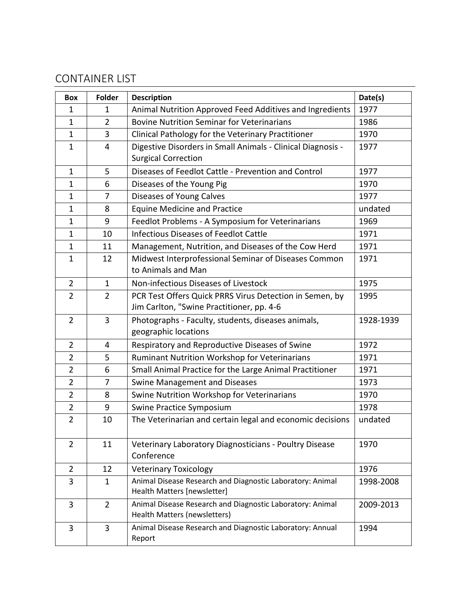# CONTAINER LIST

| <b>Box</b>     | <b>Folder</b>  | <b>Description</b>                                                                                   | Date(s)   |
|----------------|----------------|------------------------------------------------------------------------------------------------------|-----------|
| 1              | $\mathbf{1}$   | Animal Nutrition Approved Feed Additives and Ingredients                                             | 1977      |
| 1              | 2              | <b>Bovine Nutrition Seminar for Veterinarians</b>                                                    | 1986      |
| $\mathbf{1}$   | 3              | Clinical Pathology for the Veterinary Practitioner                                                   | 1970      |
| $\mathbf 1$    | 4              | Digestive Disorders in Small Animals - Clinical Diagnosis -<br><b>Surgical Correction</b>            | 1977      |
| $\mathbf{1}$   | 5              | Diseases of Feedlot Cattle - Prevention and Control                                                  | 1977      |
| 1              | 6              | Diseases of the Young Pig                                                                            | 1970      |
| 1              | 7              | Diseases of Young Calves                                                                             | 1977      |
| 1              | 8              | <b>Equine Medicine and Practice</b>                                                                  | undated   |
| $\mathbf{1}$   | 9              | Feedlot Problems - A Symposium for Veterinarians                                                     | 1969      |
| $\mathbf 1$    | 10             | <b>Infectious Diseases of Feedlot Cattle</b>                                                         | 1971      |
| $\mathbf{1}$   | 11             | Management, Nutrition, and Diseases of the Cow Herd                                                  | 1971      |
| $\mathbf{1}$   | 12             | Midwest Interprofessional Seminar of Diseases Common<br>to Animals and Man                           | 1971      |
| $\overline{2}$ | $\mathbf{1}$   | Non-infectious Diseases of Livestock                                                                 | 1975      |
| $\overline{2}$ | $\overline{2}$ | PCR Test Offers Quick PRRS Virus Detection in Semen, by<br>Jim Carlton, "Swine Practitioner, pp. 4-6 | 1995      |
| $\overline{2}$ | 3              | Photographs - Faculty, students, diseases animals,<br>geographic locations                           | 1928-1939 |
| $\overline{2}$ | 4              | Respiratory and Reproductive Diseases of Swine                                                       | 1972      |
| $\overline{2}$ | 5              | Ruminant Nutrition Workshop for Veterinarians                                                        | 1971      |
| $\overline{2}$ | 6              | Small Animal Practice for the Large Animal Practitioner                                              | 1971      |
| $\overline{2}$ | $\overline{7}$ | <b>Swine Management and Diseases</b>                                                                 | 1973      |
| $\overline{2}$ | 8              | Swine Nutrition Workshop for Veterinarians                                                           | 1970      |
| $\overline{2}$ | 9              | Swine Practice Symposium                                                                             | 1978      |
| $\overline{2}$ | 10             | The Veterinarian and certain legal and economic decisions                                            | undated   |
| $\overline{2}$ | 11             | Veterinary Laboratory Diagnosticians - Poultry Disease<br>Conference                                 | 1970      |
| $\overline{2}$ | 12             | <b>Veterinary Toxicology</b>                                                                         | 1976      |
| 3              | $\mathbf 1$    | Animal Disease Research and Diagnostic Laboratory: Animal<br>Health Matters [newsletter]             | 1998-2008 |
| 3              | $\overline{2}$ | Animal Disease Research and Diagnostic Laboratory: Animal<br>Health Matters (newsletters)            | 2009-2013 |
| 3              | 3              | Animal Disease Research and Diagnostic Laboratory: Annual<br>Report                                  | 1994      |